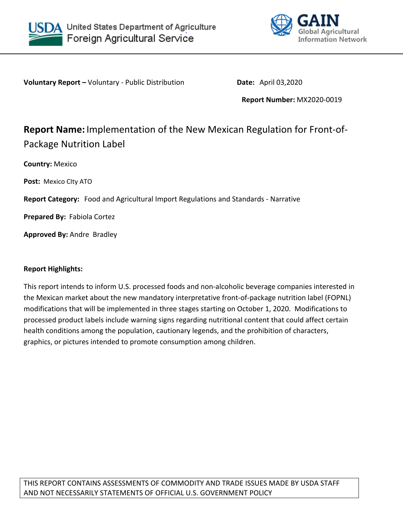



**Voluntary Report –** Voluntary - Public Distribution **Date:** April 03,2020

**Report Number:** MX2020-0019

# **Report Name:** Implementation of the New Mexican Regulation for Front-of-Package Nutrition Label

**Country:** Mexico

**Post:** Mexico CIty ATO

**Report Category:** Food and Agricultural Import Regulations and Standards - Narrative

**Prepared By:** Fabiola Cortez

**Approved By:** Andre Bradley

# **Report Highlights:**

This report intends to inform U.S. processed foods and non-alcoholic beverage companies interested in the Mexican market about the new mandatory interpretative front-of-package nutrition label (FOPNL) modifications that will be implemented in three stages starting on October 1, 2020. Modifications to processed product labels include warning signs regarding nutritional content that could affect certain health conditions among the population, cautionary legends, and the prohibition of characters, graphics, or pictures intended to promote consumption among children.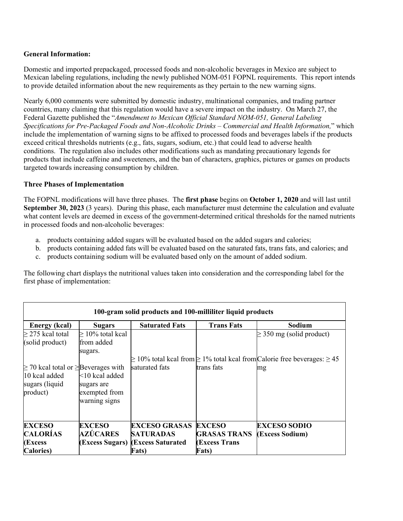# **General Information:**

Domestic and imported prepackaged, processed foods and non-alcoholic beverages in Mexico are subject to Mexican labeling regulations, including the newly published NOM-051 FOPNL requirements.  This report intends to provide detailed information about the new requirements as they pertain to the new warning signs.

Nearly 6,000 comments were submitted by domestic industry, multinational companies, and trading partner countries, many claiming that this regulation would have a severe impact on the industry. On March 27, the Federal Gazette published the "*Amendment to Mexican Official Standard NOM-051, General Labeling Specifications for Pre-Packaged Foods and Non-Alcoholic Drinks – Commercial and Health Information,*" which include the implementation of warning signs to be affixed to processed foods and beverages labels if the products exceed critical thresholds nutrients (e.g., fats, sugars, sodium, etc.) that could lead to adverse health conditions. The regulation also includes other modifications such as mandating precautionary legends for products that include caffeine and sweeteners, and the ban of characters, graphics, pictures or games on products targeted towards increasing consumption by children.

#### **Three Phases of Implementation**

The FOPNL modifications will have three phases. The **first phase** begins on **October 1, 2020** and will last until **September 30, 2023** (3 years). During this phase, each manufacturer must determine the calculation and evaluate what content levels are deemed in excess of the government-determined critical thresholds for the named nutrients in processed foods and non-alcoholic beverages:

- a. products containing added sugars will be evaluated based on the added sugars and calories;
- b. products containing added fats will be evaluated based on the saturated fats, trans fats, and calories; and
- c. products containing sodium will be evaluated based only on the amount of added sodium.

The following chart displays the nutritional values taken into consideration and the corresponding label for the first phase of implementation:

| 100-gram solid products and 100-milliliter liquid products                                   |                                                                   |                                                       |                                             |                                                                                                                         |
|----------------------------------------------------------------------------------------------|-------------------------------------------------------------------|-------------------------------------------------------|---------------------------------------------|-------------------------------------------------------------------------------------------------------------------------|
| <b>Energy</b> (kcal)                                                                         | <b>Sugars</b>                                                     | <b>Saturated Fats</b>                                 | <b>Trans Fats</b>                           | Sodium                                                                                                                  |
| $\geq$ 275 kcal total<br>(solid product)                                                     | $\geq 10\%$ total kcal<br>lfrom added<br>sugars.                  |                                                       |                                             | $\geq$ 350 mg (solid product)<br>$\geq$ 10% total kcal from $\geq$ 1% total kcal from Calorie free beverages: $\geq$ 45 |
| $\geq$ 70 kcal total or $\geq$ Beverages with<br>10 kcal added<br>sugars (liquid<br>product) | $ <10$ kcal added<br>sugars are<br>exempted from<br>warning signs | saturated fats                                        | trans fats                                  | mg                                                                                                                      |
| <b>EXCESO</b>                                                                                | <b>EXCESO</b>                                                     | <b>EXCESO GRASAS</b>                                  | <b>EXCESO</b>                               | <b>EXCESO SODIO</b>                                                                                                     |
| <b>CALORÍAS</b><br>(Excess                                                                   | AZÚCARES                                                          | <b>SATURADAS</b><br>(Excess Sugars) (Excess Saturated | <b>GRASAS TRANS</b><br><b>(Excess Trans</b> | (Excess Sodium)                                                                                                         |
| <b>Calories</b> )                                                                            |                                                                   | Fats)                                                 | <b>Fats</b> )                               |                                                                                                                         |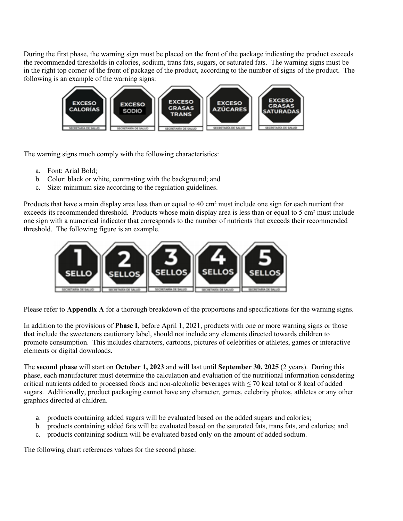During the first phase, the warning sign must be placed on the front of the package indicating the product exceeds the recommended thresholds in calories, sodium, trans fats, sugars, or saturated fats. The warning signs must be in the right top corner of the front of package of the product, according to the number of signs of the product. The following is an example of the warning signs:



The warning signs much comply with the following characteristics:

- a. Font: Arial Bold;
- b. Color: black or white, contrasting with the background; and
- c. Size: minimum size according to the regulation guidelines.

Products that have a main display area less than or equal to 40 cm² must include one sign for each nutrient that exceeds its recommended threshold. Products whose main display area is less than or equal to 5 cm<sup>2</sup> must include one sign with a numerical indicator that corresponds to the number of nutrients that exceeds their recommended threshold. The following figure is an example.



Please refer to **Appendix A** for a thorough breakdown of the proportions and specifications for the warning signs.

In addition to the provisions of **Phase I**, before April 1, 2021, products with one or more warning signs or those that include the sweeteners cautionary label, should not include any elements directed towards children to promote consumption. This includes characters, cartoons, pictures of celebrities or athletes, games or interactive elements or digital downloads.

The **second phase** will start on **October 1, 2023** and will last until **September 30, 2025** (2 years). During this phase, each manufacturer must determine the calculation and evaluation of the nutritional information considering critical nutrients added to processed foods and non-alcoholic beverages with  $\leq$  70 kcal total or 8 kcal of added sugars. Additionally, product packaging cannot have any character, games, celebrity photos, athletes or any other graphics directed at children.

- a. products containing added sugars will be evaluated based on the added sugars and calories;
- b. products containing added fats will be evaluated based on the saturated fats, trans fats, and calories; and
- c. products containing sodium will be evaluated based only on the amount of added sodium.

The following chart references values for the second phase: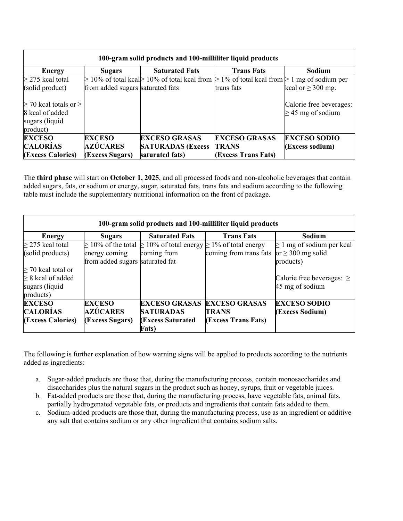| 100-gram solid products and 100-milliliter liquid products |                                  |                                                                                                               |                      |                         |
|------------------------------------------------------------|----------------------------------|---------------------------------------------------------------------------------------------------------------|----------------------|-------------------------|
| <b>Energy</b>                                              | <b>Sugars</b>                    | <b>Saturated Fats</b>                                                                                         | <b>Trans Fats</b>    | Sodium                  |
| $\geq$ 275 kcal total                                      |                                  | $\geq$ 10% of total kcal $\geq$ 10% of total kcal from $\geq$ 1% of total kcal from $\geq$ 1 mg of sodium per |                      |                         |
| (solid product)                                            | from added sugars saturated fats |                                                                                                               | trans fats           | kcal or $\geq$ 300 mg.  |
| $\geq$ 70 kcal totals or $\geq$                            |                                  |                                                                                                               |                      | Calorie free beverages: |
| 8 kcal of added                                            |                                  |                                                                                                               |                      | $\geq$ 45 mg of sodium  |
| sugars (liquid                                             |                                  |                                                                                                               |                      |                         |
| product)                                                   |                                  |                                                                                                               |                      |                         |
| <b>EXCESO</b>                                              | <b>EXCESO</b>                    | <b>EXCESO GRASAS</b>                                                                                          | <b>EXCESO GRASAS</b> | <b>EXCESO SODIO</b>     |
| <b>CALORÍAS</b>                                            | <b>AZÚCARES</b>                  | <b>SATURADAS (Excess)</b>                                                                                     | <b>TRANS</b>         | (Excess sodium)         |
| (Excess Calories)                                          | (Excess Sugars)                  | saturated fats)                                                                                               | (Excess Trans Fats)  |                         |

The **third phase** will start on **October 1, 2025**, and all processed foods and non-alcoholic beverages that contain added sugars, fats, or sodium or energy, sugar, saturated fats, trans fats and sodium according to the following table must include the supplementary nutritional information on the front of package.

| 100-gram solid products and 100-milliliter liquid products |                                 |                                                                                 |                        |                                |
|------------------------------------------------------------|---------------------------------|---------------------------------------------------------------------------------|------------------------|--------------------------------|
| <b>Energy</b>                                              | <b>Sugars</b>                   | <b>Saturated Fats</b>                                                           | <b>Trans Fats</b>      | <b>Sodium</b>                  |
| $\geq$ 275 kcal total                                      |                                 | $\geq 10\%$ of the total $\geq 10\%$ of total energy $\geq 1\%$ of total energy |                        | $\geq 1$ mg of sodium per kcal |
| (solid products)                                           | energy coming                   | coming from                                                                     | coming from trans fats | or $\geq$ 300 mg solid         |
|                                                            | from added sugars saturated fat |                                                                                 |                        | products)                      |
| $\geq$ 70 kcal total or                                    |                                 |                                                                                 |                        |                                |
| $\geq$ 8 kcal of added                                     |                                 |                                                                                 |                        | Calorie free beverages: $\geq$ |
| sugars (liquid                                             |                                 |                                                                                 |                        | $45 \text{ mg of sodium}$      |
| products)                                                  |                                 |                                                                                 |                        |                                |
| <b>EXCESO</b>                                              | <b>EXCESO</b>                   | <b>EXCESO GRASAS</b>                                                            | <b>EXCESO GRASAS</b>   | <b>EXCESO SODIO</b>            |
| <b>CALORÍAS</b>                                            | AZÚCARES                        | <b>SATURADAS</b>                                                                | <b>TRANS</b>           | (Excess Sodium)                |
| (Excess Calories)                                          | (Excess Sugars)                 | <b>(Excess Saturated)</b>                                                       | (Excess Trans Fats)    |                                |
|                                                            |                                 | <b>Fats</b> )                                                                   |                        |                                |

The following is further explanation of how warning signs will be applied to products according to the nutrients added as ingredients:

- a. Sugar-added products are those that, during the manufacturing process, contain monosaccharides and disaccharides plus the natural sugars in the product such as honey, syrups, fruit or vegetable juices.
- b. Fat-added products are those that, during the manufacturing process, have vegetable fats, animal fats, partially hydrogenated vegetable fats, or products and ingredients that contain fats added to them.
- c. Sodium-added products are those that, during the manufacturing process, use as an ingredient or additive any salt that contains sodium or any other ingredient that contains sodium salts.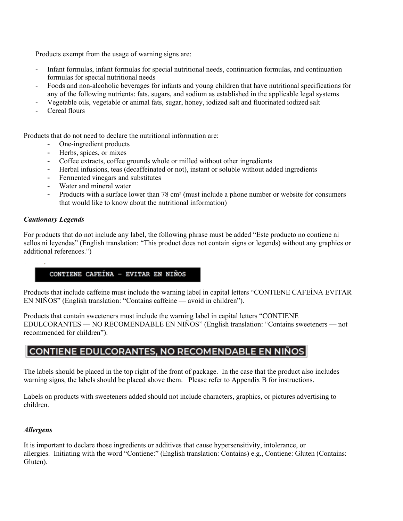Products exempt from the usage of warning signs are:

- Infant formulas, infant formulas for special nutritional needs, continuation formulas, and continuation formulas for special nutritional needs
- Foods and non-alcoholic beverages for infants and young children that have nutritional specifications for any of the following nutrients: fats, sugars, and sodium as established in the applicable legal systems
- Vegetable oils, vegetable or animal fats, sugar, honey, iodized salt and fluorinated iodized salt
- Cereal flours

Products that do not need to declare the nutritional information are:

- One-ingredient products
- Herbs, spices, or mixes
- Coffee extracts, coffee grounds whole or milled without other ingredients
- Herbal infusions, teas (decaffeinated or not), instant or soluble without added ingredients
- Fermented vinegars and substitutes
- Water and mineral water
- Products with a surface lower than 78 cm<sup>2</sup> (must include a phone number or website for consumers that would like to know about the nutritional information)

#### *Cautionary Legends*

For products that do not include any label, the following phrase must be added "Este producto no contiene ni sellos ni leyendas" (English translation: "This product does not contain signs or legends) without any graphics or additional references.")

#### CONTIENE CAFEÍNA - EVITAR EN NIÑOS

Products that include caffeine must include the warning label in capital letters "CONTIENE CAFEÍNA EVITAR EN NIÑOS" (English translation: "Contains caffeine — avoid in children").

Products that contain sweeteners must include the warning label in capital letters "CONTIENE EDULCORANTES — NO RECOMENDABLE EN NIÑOS" (English translation: "Contains sweeteners — not recommended for children").

# CONTIENE EDULCORANTES, NO RECOMENDABLE EN NIÑOS

The labels should be placed in the top right of the front of package. In the case that the product also includes warning signs, the labels should be placed above them. Please refer to Appendix B for instructions.

Labels on products with sweeteners added should not include characters, graphics, or pictures advertising to children.

#### *Allergens*

It is important to declare those ingredients or additives that cause hypersensitivity, intolerance, or allergies. Initiating with the word "Contiene:" (English translation: Contains) e.g., Contiene: Gluten (Contains: Gluten).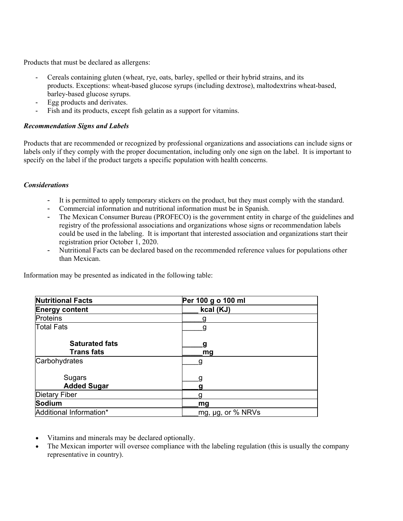Products that must be declared as allergens:

- Cereals containing gluten (wheat, rye, oats, barley, spelled or their hybrid strains, and its products. Exceptions: wheat-based glucose syrups (including dextrose), maltodextrins wheat-based, barley-based glucose syrups.
- Egg products and derivates.
- Fish and its products, except fish gelatin as a support for vitamins.

## *Recommendation Signs and Labels*

Products that are recommended or recognized by professional organizations and associations can include signs or labels only if they comply with the proper documentation, including only one sign on the label. It is important to specify on the label if the product targets a specific population with health concerns.

## *Considerations*

- It is permitted to apply temporary stickers on the product, but they must comply with the standard.
- Commercial information and nutritional information must be in Spanish.
- The Mexican Consumer Bureau (PROFECO) is the government entity in charge of the guidelines and registry of the professional associations and organizations whose signs or recommendation labels could be used in the labeling. It is important that interested association and organizations start their registration prior October 1, 2020.
- Nutritional Facts can be declared based on the recommended reference values for populations other than Mexican.

|  | Information may be presented as indicated in the following table: |
|--|-------------------------------------------------------------------|
|--|-------------------------------------------------------------------|

| <b>Nutritional Facts</b>                   | Per 100 g o 100 ml |  |
|--------------------------------------------|--------------------|--|
| <b>Energy content</b>                      | kcal (KJ)          |  |
| <b>Proteins</b>                            |                    |  |
| <b>Total Fats</b>                          |                    |  |
| <b>Saturated fats</b><br><b>Trans fats</b> | g<br>mg            |  |
| Carbohydrates                              | g                  |  |
|                                            |                    |  |
| Sugars                                     |                    |  |
| <b>Added Sugar</b>                         |                    |  |
| <b>Dietary Fiber</b>                       |                    |  |
| <b>Sodium</b>                              | mg                 |  |
| Additional Information*                    | mg, µg, or % NRVs  |  |

- Vitamins and minerals may be declared optionally.
- The Mexican importer will oversee compliance with the labeling regulation (this is usually the company representative in country).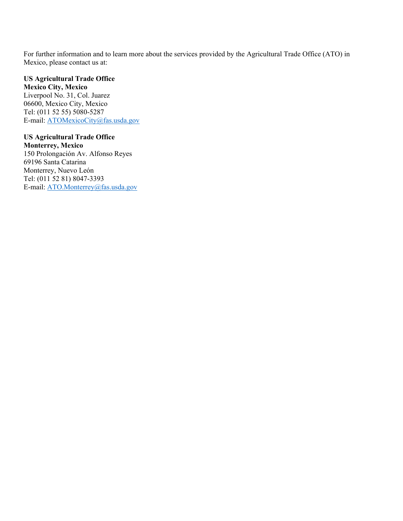For further information and to learn more about the services provided by the Agricultural Trade Office (ATO) in Mexico, please contact us at:

**US Agricultural Trade Office Mexico City, Mexico** Liverpool No. 31, Col. Juarez 06600, Mexico City, Mexico Tel: (011 52 55) 5080-5287 E-mail: [ATOMexicoCity@fas.usda.gov](mailto:ATOMexicoCity@fas.usda.gov)

**US Agricultural Trade Office Monterrey, Mexico** 150 Prolongación Av. Alfonso Reyes 69196 Santa Catarina Monterrey, Nuevo León Tel: (011 52 81) 8047-3393 E-mail: [ATO.Monterrey@fas.usda.gov](mailto:ATO.Monterrey@fas.usda.gov)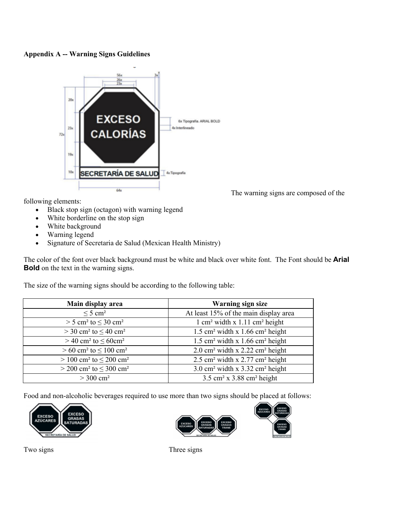#### **Appendix A -- Warning Signs Guidelines**



The warning signs are composed of the

following elements:

- Black stop sign (octagon) with warning legend
- White borderline on the stop sign
- White background
- Warning legend
- Signature of Secretaria de Salud (Mexican Health Ministry)

The color of the font over black background must be white and black over white font. The Font should be **Arial Bold** on the text in the warning signs.

The size of the warning signs should be according to the following table:

| Main display area                                     | <b>Warning sign size</b>                                  |
|-------------------------------------------------------|-----------------------------------------------------------|
| $\leq$ 5 cm <sup>2</sup>                              | At least 15% of the main display area                     |
| $> 5$ cm <sup>2</sup> to $\leq 30$ cm <sup>2</sup>    | $1 \text{ cm}^2$ width x 1.11 cm <sup>2</sup> height      |
| $>$ 30 cm <sup>2</sup> to $\leq$ 40 cm <sup>2</sup>   | $1.5$ cm <sup>2</sup> width x 1.66 cm <sup>2</sup> height |
| $>$ 40 cm <sup>2</sup> to $\leq$ 60cm <sup>2</sup>    | $1.5$ cm <sup>2</sup> width x 1.66 cm <sup>2</sup> height |
| $> 60$ cm <sup>2</sup> to $\leq 100$ cm <sup>2</sup>  | $2.0 \text{ cm}^2$ width x 2.22 cm <sup>2</sup> height    |
| $> 100$ cm <sup>2</sup> to $\leq 200$ cm <sup>2</sup> | $2.5$ cm <sup>2</sup> width x 2.77 cm <sup>2</sup> height |
| $>$ 200 cm <sup>2</sup> to $\leq$ 300 cm <sup>2</sup> | $3.0 \text{ cm}^2$ width x $3.32 \text{ cm}^2$ height     |
| $> 300$ cm <sup>2</sup>                               | $3.5$ cm <sup>2</sup> x $3.88$ cm <sup>2</sup> height     |

Food and non-alcoholic beverages required to use more than two signs should be placed at follows:





Two signs Three signs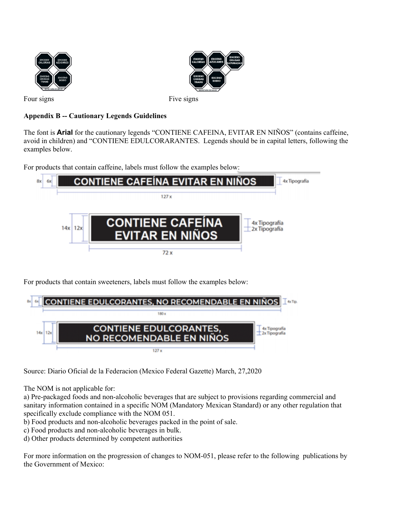



Four signs Five signs

# **Appendix B -- Cautionary Legends Guidelines**

The font is **Arial** for the cautionary legends "CONTIENE CAFEINA, EVITAR EN NIÑOS" (contains caffeine, avoid in children) and "CONTIENE EDULCORARANTES. Legends should be in capital letters, following the examples below.

For products that contain caffeine, labels must follow the examples below:



For products that contain sweeteners, labels must follow the examples below:

| 8x1 | <b>CONTIENE EDULCORANTES, NO RECOMENDABLE EN NIÑOS</b>                     |  |
|-----|----------------------------------------------------------------------------|--|
|     |                                                                            |  |
|     | <b>CONTIENE EDULCORANTES,</b><br>$14x$   $12x$<br>NO RECOMENDABLE EN NIÑOS |  |
|     | 127x                                                                       |  |

Source: Diario Oficial de la Federacion (Mexico Federal Gazette) March, 27,2020

The NOM is not applicable for:

a) Pre-packaged foods and non-alcoholic beverages that are subject to provisions regarding commercial and sanitary information contained in a specific NOM (Mandatory Mexican Standard) or any other regulation that specifically exclude compliance with the NOM 051.

b) Food products and non-alcoholic beverages packed in the point of sale.

c) Food products and non-alcoholic beverages in bulk.

d) Other products determined by competent authorities

For more information on the progression of changes to NOM-051, please refer to the following publications by the Government of Mexico: